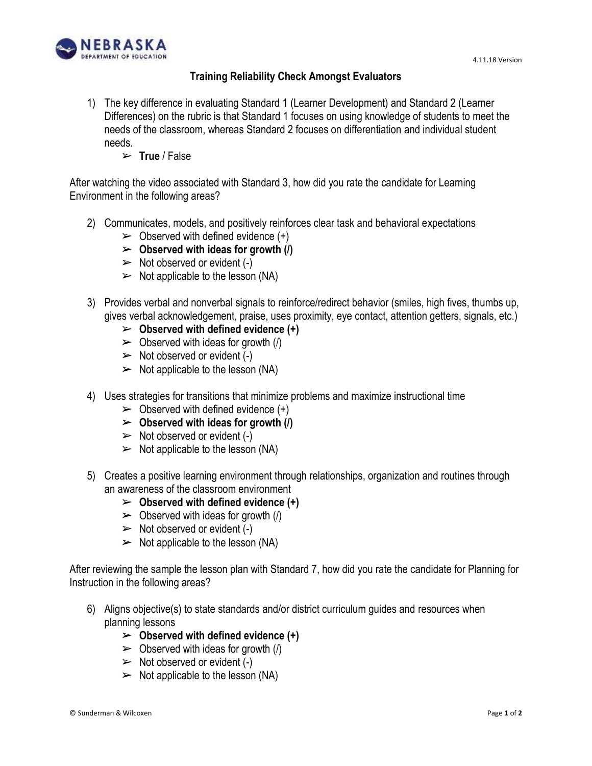

## **Training Reliability Check Amongst Evaluators**

- 1) The key difference in evaluating Standard 1 (Learner Development) and Standard 2 (Learner Differences) on the rubric is that Standard 1 focuses on using knowledge of students to meet the needs of the classroom, whereas Standard 2 focuses on differentiation and individual student needs.
	- ➢ **True** / False

After watching the video associated with Standard 3, how did you rate the candidate for Learning Environment in the following areas?

- 2) Communicates, models, and positively reinforces clear task and behavioral expectations
	- $\triangleright$  Observed with defined evidence  $(+)$
	- ➢ **Observed with ideas for growth (/)**
	- $\triangleright$  Not observed or evident (-)
	- $\triangleright$  Not applicable to the lesson (NA)
- 3) Provides verbal and nonverbal signals to reinforce/redirect behavior (smiles, high fives, thumbs up, gives verbal acknowledgement, praise, uses proximity, eye contact, attention getters, signals, etc.)
	- ➢ **Observed with defined evidence (+)**
	- $\triangleright$  Observed with ideas for growth (/)
	- $\triangleright$  Not observed or evident (-)
	- $\triangleright$  Not applicable to the lesson (NA)
- 4) Uses strategies for transitions that minimize problems and maximize instructional time
	- $\triangleright$  Observed with defined evidence  $(+)$
	- ➢ **Observed with ideas for growth (/)**
	- $\triangleright$  Not observed or evident (-)
	- $\triangleright$  Not applicable to the lesson (NA)
- 5) Creates a positive learning environment through relationships, organization and routines through an awareness of the classroom environment
	- ➢ **Observed with defined evidence (+)**
	- $\triangleright$  Observed with ideas for growth (/)
	- $\triangleright$  Not observed or evident (-)
	- $\triangleright$  Not applicable to the lesson (NA)

After reviewing the sample the lesson plan with Standard 7, how did you rate the candidate for Planning for Instruction in the following areas?

- 6) Aligns objective(s) to state standards and/or district curriculum guides and resources when planning lessons
	- ➢ **Observed with defined evidence (+)**
	- $\triangleright$  Observed with ideas for growth (/)
	- $\triangleright$  Not observed or evident (-)
	- $\triangleright$  Not applicable to the lesson (NA)